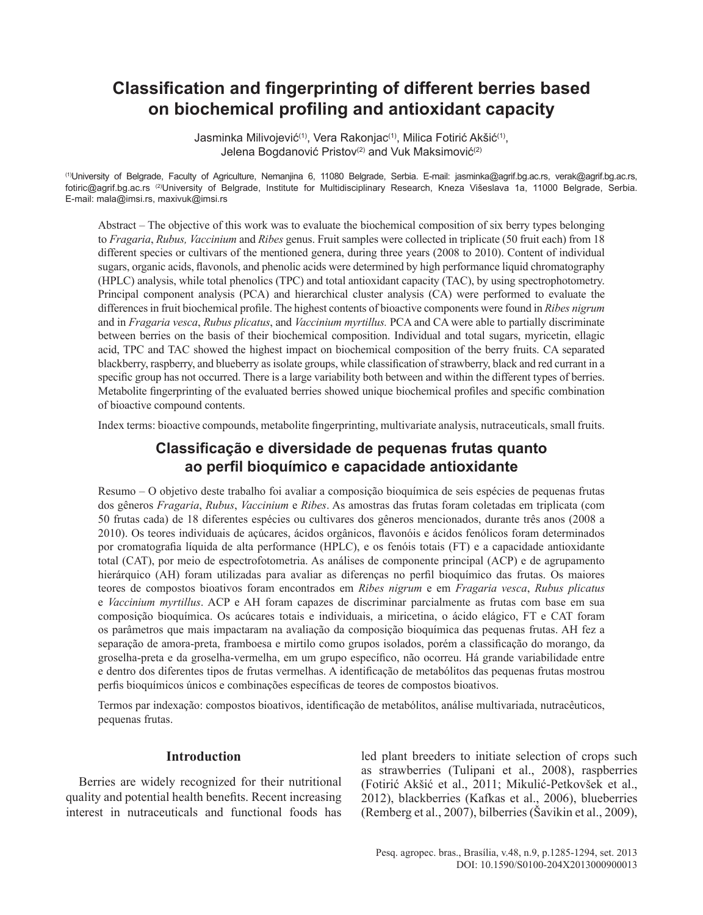# **Classification and fingerprinting of different berries based on biochemical profiling and antioxidant capacity**

Jasminka Milivojević<sup>(1)</sup>, Vera Rakonjac<sup>(1)</sup>, Milica Fotirić Akšić<sup>(1)</sup>, Jelena Bogdanović Pristov<sup>(2)</sup> and Vuk Maksimović<sup>(2)</sup>

(1)University of Belgrade, Faculty of Agriculture, Nemanjina 6, 11080 Belgrade, Serbia. E‑mail: jasminka@agrif.bg.ac.rs, [verak@agrif.bg.ac.rs,](mailto:verak@agrif.bg.ac.rs) fotiric@agrif.bg.ac.rs (2)University of Belgrade, Institute for Multidisciplinary Research, Kneza Višeslava 1a, 11000 Belgrade, Serbia. E‑mail: [mala@imsi.rs](mailto:mala@imsi.rs), maxivuk@imsi.rs

Abstract – The objective of this work was to evaluate the biochemical composition of six berry types belonging to *Fragaria*, *Rubus, Vaccinium* and *Ribes* genus. Fruit samples were collected in triplicate (50 fruit each) from 18 different species or cultivars of the mentioned genera, during three years (2008 to 2010). Content of individual sugars, organic acids, flavonols, and phenolic acids were determined by high performance liquid chromatography (HPLC) analysis, while total phenolics (TPC) and total antioxidant capacity (TAC), by using spectrophotometry. Principal component analysis (PCA) and hierarchical cluster analysis (CA) were performed to evaluate the differences in fruit biochemical profile. The highest contents of bioactive components were found in *Ribes nigrum* and in *Fragaria vesca*, *Rubus plicatus*, and *Vaccinium myrtillus.* PCA and CA were able to partially discriminate between berries on the basis of their biochemical composition. Individual and total sugars, myricetin, ellagic acid, TPC and TAC showed the highest impact on biochemical composition of the berry fruits. CA separated blackberry, raspberry, and blueberry as isolate groups, while classification of strawberry, black and red currant in a specific group has not occurred. There is a large variability both between and within the different types of berries. Metabolite fingerprinting of the evaluated berries showed unique biochemical profiles and specific combination of bioactive compound contents.

Index terms: bioactive compounds, metabolite fingerprinting, multivariate analysis, nutraceuticals, small fruits.

## **Classificação e diversidade de pequenas frutas quanto ao perfil bioquímico e capacidade antioxidante**

Resumo – O objetivo deste trabalho foi avaliar a composição bioquímica de seis espécies de pequenas frutas dos gêneros *Fragaria*, *Rubus*, *Vaccinium* e *Ribes*. As amostras das frutas foram coletadas em triplicata (com 50 frutas cada) de 18 diferentes espécies ou cultivares dos gêneros mencionados, durante três anos (2008 a 2010). Os teores individuais de açúcares, ácidos orgânicos, flavonóis e ácidos fenólicos foram determinados por cromatografia líquida de alta performance (HPLC), e os fenóis totais (FT) e a capacidade antioxidante total (CAT), por meio de espectrofotometria. As análises de componente principal (ACP) e de agrupamento hierárquico (AH) foram utilizadas para avaliar as diferenças no perfil bioquímico das frutas. Os maiores teores de compostos bioativos foram encontrados em *Ribes nigrum* e em *Fragaria vesca*, *Rubus plicatus* e *Vaccinium myrtillus*. ACP e AH foram capazes de discriminar parcialmente as frutas com base em sua composição bioquímica. Os acúcares totais e individuais, a miricetina, o ácido elágico, FT e CAT foram os parâmetros que mais impactaram na avaliação da composição bioquímica das pequenas frutas. AH fez a separação de amora‑preta, framboesa e mirtilo como grupos isolados, porém a classificação do morango, da groselha‑preta e da groselha‑vermelha, em um grupo específico, não ocorreu. Há grande variabilidade entre e dentro dos diferentes tipos de frutas vermelhas. A identificação de metabólitos das pequenas frutas mostrou perfis bioquímicos únicos e combinações específicas de teores de compostos bioativos.

Termos par indexação: compostos bioativos, identificação de metabólitos, análise multivariada, nutracêuticos, pequenas frutas.

### **Introduction**

Berries are widely recognized for their nutritional quality and potential health benefits. Recent increasing interest in nutraceuticals and functional foods has led plant breeders to initiate selection of crops such as strawberries (Tulipani et al., 2008), raspberries (Fotirić Akšić et al., 2011; Mikulić‑Petkovšek et al., 2012), blackberries (Kafkas et al., 2006), blueberries (Remberg et al., 2007), bilberries (Šavikin et al., 2009),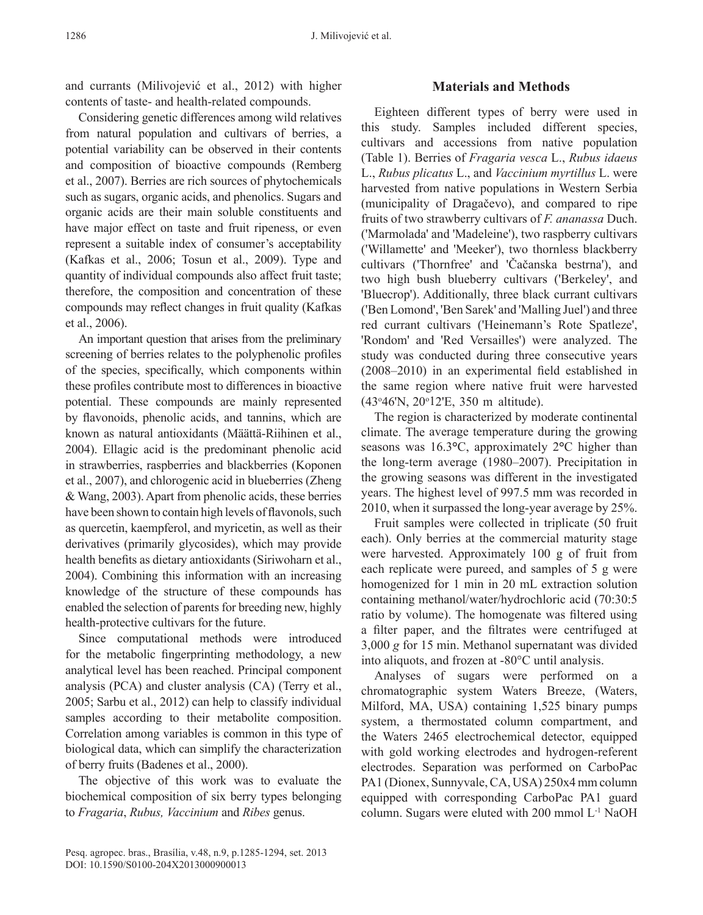and currants (Milivojević et al., 2012) with higher contents of taste‑ and health‑related compounds.

Considering genetic differences among wild relatives from natural population and cultivars of berries, a potential variability can be observed in their contents and composition of bioactive compounds (Remberg et al., 2007). Berries are rich sources of phytochemicals such as sugars, organic acids, and phenolics. Sugars and organic acids are their main soluble constituents and have major effect on taste and fruit ripeness, or even represent a suitable index of consumer's acceptability (Kafkas et al., 2006; Tosun et al., 2009). Type and quantity of individual compounds also affect fruit taste; therefore, the composition and concentration of these compounds may reflect changes in fruit quality (Kafkas et al., 2006).

An important question that arises from the preliminary screening of berries relates to the polyphenolic profiles of the species, specifically, which components within these profiles contribute most to differences in bioactive potential. These compounds are mainly represented by flavonoids, phenolic acids, and tannins, which are known as natural antioxidants (Määttä‑Riihinen et al., 2004). Ellagic acid is the predominant phenolic acid in strawberries, raspberries and blackberries (Koponen et al., 2007), and chlorogenic acid in blueberries (Zheng & Wang, 2003). Apart from phenolic acids, these berries have been shown to contain high levels of flavonols, such as quercetin, kaempferol, and myricetin, as well as their derivatives (primarily glycosides), which may provide health benefits as dietary antioxidants (Siriwoharn et al., 2004). Combining this information with an increasing knowledge of the structure of these compounds has enabled the selection of parents for breeding new, highly health-protective cultivars for the future.

Since computational methods were introduced for the metabolic fingerprinting methodology, a new analytical level has been reached. Principal component analysis (PCA) and cluster analysis (CA) (Terry et al., 2005; Sarbu et al., 2012) can help to classify individual samples according to their metabolite composition. Correlation among variables is common in this type of biological data, which can simplify the characterization of berry fruits (Badenes et al., 2000).

The objective of this work was to evaluate the biochemical composition of six berry types belonging to *Fragaria*, *Rubus, Vaccinium* and *Ribes* genus.

## **Materials and Methods**

Eighteen different types of berry were used in this study. Samples included different species, cultivars and accessions from native population (Table 1). Berries of *Fragaria vesca* L., *Rubus idaeus* L., *Rubus plicatus* L., and *Vaccinium myrtillus* L. were harvested from native populations in Western Serbia (municipality of Dragačevo), and compared to ripe fruits of two strawberry cultivars of *F. ananassa* Duch. ('Marmolada' and 'Madeleine'), two raspberry cultivars ('Willamette' and 'Meeker'), two thornless blackberry cultivars ('Thornfree' and 'Čačanska bestrna'), and two high bush blueberry cultivars ('Berkeley', and 'Bluecrop'). Additionally, three black currant cultivars ('Ben Lomond', 'Ben Sarek' and 'Malling Juel') and three red currant cultivars ('Heinemann's Rote Spatleze', 'Rondom' and 'Red Versailles') were analyzed. The study was conducted during three consecutive years (2008–2010) in an experimental field established in the same region where native fruit were harvested (43o 46'N, 20o 12'E, 350 m altitude).

The region is characterized by moderate continental climate. The average temperature during the growing seasons was 16.3**°**C, approximately 2**°**C higher than the long-term average (1980–2007). Precipitation in the growing seasons was different in the investigated years. The highest level of 997.5 mm was recorded in 2010, when it surpassed the long‑year average by 25%.

Fruit samples were collected in triplicate (50 fruit each). Only berries at the commercial maturity stage were harvested. Approximately 100 g of fruit from each replicate were pureed, and samples of 5 g were homogenized for 1 min in 20 mL extraction solution containing methanol/water/hydrochloric acid (70:30:5 ratio by volume). The homogenate was filtered using a filter paper, and the filtrates were centrifuged at 3,000 *g* for 15 min. Methanol supernatant was divided into aliquots, and frozen at ‑80°C until analysis.

Analyses of sugars were performed on a chromatographic system Waters Breeze, (Waters, Milford, MA, USA) containing 1,525 binary pumps system, a thermostated column compartment, and the Waters 2465 electrochemical detector, equipped with gold working electrodes and hydrogen-referent electrodes. Separation was performed on CarboPac PA1 (Dionex, Sunnyvale, CA, USA) 250x4mm column equipped with corresponding CarboPac PA1 guard column. Sugars were eluted with 200 mmol L‑1 NaOH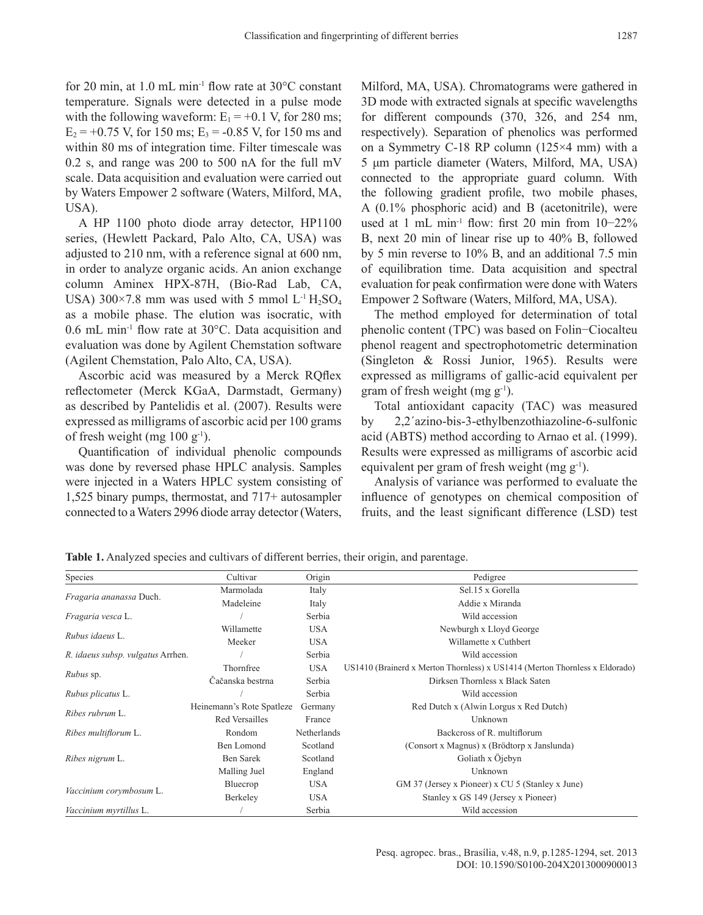for 20 min, at  $1.0$  mL min<sup>-1</sup> flow rate at  $30^{\circ}$ C constant temperature. Signals were detected in a pulse mode with the following waveform:  $E_1 = +0.1$  V, for 280 ms;  $E_2 = +0.75$  V, for 150 ms;  $E_3 = -0.85$  V, for 150 ms and within 80 ms of integration time. Filter timescale was 0.2 s, and range was 200 to 500 nA for the full mV scale. Data acquisition and evaluation were carried out by Waters Empower 2 software (Waters, Milford, MA, USA).

A HP 1100 photo diode array detector, HP1100 series, (Hewlett Packard, Palo Alto, CA, USA) was adjusted to 210 nm, with a reference signal at 600 nm, in order to analyze organic acids. An anion exchange column Aminex HPX‑87H, (Bio‑Rad Lab, CA, USA) 300×7.8 mm was used with 5 mmol  $L^{-1}H_2SO_4$ as a mobile phase. The elution was isocratic, with  $0.6$  mL min<sup>-1</sup> flow rate at  $30^{\circ}$ C. Data acquisition and evaluation was done by Agilent Chemstation software (Agilent Chemstation, Palo Alto, CA, USA).

Ascorbic acid was measured by a Merck RQflex reflectometer (Merck KGaA, Darmstadt, Germany) as described by Pantelidis et al. (2007). Results were expressed as milligrams of ascorbic acid per 100 grams of fresh weight (mg  $100 \text{ g}^{-1}$ ).

Quantification of individual phenolic compounds was done by reversed phase HPLC analysis. Samples were injected in a Waters HPLC system consisting of 1,525 binary pumps, thermostat, and 717+ autosampler connected to a Waters 2996 diode array detector (Waters,

Milford, MA, USA). Chromatograms were gathered in 3D mode with extracted signals at specific wavelengths for different compounds (370, 326, and 254 nm, respectively). Separation of phenolics was performed on a Symmetry C‑18 RP column (125×4 mm) with a 5 μm particle diameter (Waters, Milford, MA, USA) connected to the appropriate guard column. With the following gradient profile, two mobile phases, A (0.1% phosphoric acid) and B (acetonitrile), were used at 1 mL min<sup>-1</sup> flow: first 20 min from 10−22% B, next 20 min of linear rise up to 40% B, followed by 5 min reverse to 10% B, and an additional 7.5 min of equilibration time. Data acquisition and spectral evaluation for peak confirmation were done with Waters Empower 2 Software (Waters, Milford, MA, USA).

The method employed for determination of total phenolic content (TPC) was based on Folin−Ciocalteu phenol reagent and spectrophotometric determination (Singleton & Rossi Junior, 1965). Results were expressed as milligrams of gallic‑acid equivalent per gram of fresh weight (mg  $g^{-1}$ ).

Total antioxidant capacity (TAC) was measured by 2,2´azino‑bis‑3‑ethylbenzothiazoline‑6‑sulfonic acid (ABTS) method according to Arnao et al. (1999). Results were expressed as milligrams of ascorbic acid equivalent per gram of fresh weight (mg  $g^{-1}$ ).

Analysis of variance was performed to evaluate the influence of genotypes on chemical composition of fruits, and the least significant difference (LSD) test

| Species                           | Cultivar                  | Origin      | Pedigree                                                                    |
|-----------------------------------|---------------------------|-------------|-----------------------------------------------------------------------------|
|                                   | Marmolada                 | Italy       | Sel.15 x Gorella                                                            |
| Fragaria ananassa Duch.           | Madeleine                 | Italy       | Addie x Miranda                                                             |
| Fragaria vesca L.                 |                           | Serbia      | Wild accession                                                              |
|                                   | Willamette                | <b>USA</b>  | Newburgh x Lloyd George                                                     |
| Rubus idaeus L.                   | Meeker                    | <b>USA</b>  | Willamette x Cuthbert                                                       |
| R. idaeus subsp. vulgatus Arrhen. |                           | Serbia      | Wild accession                                                              |
|                                   | Thornfree                 | <b>USA</b>  | US1410 (Brainerd x Merton Thornless) x US1414 (Merton Thornless x Eldorado) |
| Rubus sp.                         | Čačanska bestrna          | Serbia      | Dirksen Thornless x Black Saten                                             |
| Rubus plicatus L.                 |                           | Serbia      | Wild accession                                                              |
| Ribes rubrum L.                   | Heinemann's Rote Spatleze | Germany     | Red Dutch x (Alwin Lorgus x Red Dutch)                                      |
|                                   | Red Versailles            | France      | Unknown                                                                     |
| Ribes multiflorum L.              | Rondom                    | Netherlands | Backcross of R. multiflorum                                                 |
|                                   | Ben Lomond                | Scotland    | (Consort x Magnus) x (Brödtorp x Janslunda)                                 |
| Ribes nigrum L.                   | Ben Sarek                 | Scotland    | Goliath x Öjebyn                                                            |
|                                   | Malling Juel              | England     | Unknown                                                                     |
|                                   | Bluecrop                  | <b>USA</b>  | GM 37 (Jersey x Pioneer) x CU 5 (Stanley x June)                            |
| Vaccinium corymbosum L.           | Berkeley                  | <b>USA</b>  | Stanley x GS 149 (Jersey x Pioneer)                                         |
| Vaccinium myrtillus L.            |                           | Serbia      | Wild accession                                                              |

**Table 1.** Analyzed species and cultivars of different berries, their origin, and parentage.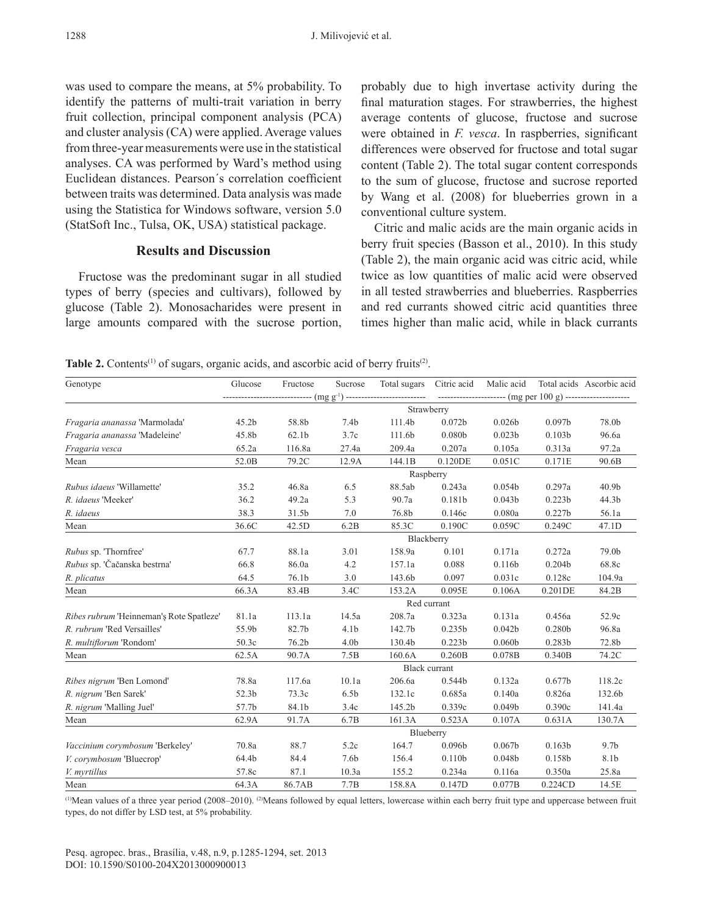was used to compare the means, at 5% probability. To identify the patterns of multi-trait variation in berry fruit collection, principal component analysis (PCA) and cluster analysis (CA) were applied. Average values from three‑year measurements were use in the statistical analyses. CA was performed by Ward's method using Euclidean distances. Pearson´s correlation coefficient between traits was determined. Data analysis was made using the Statistica for Windows software, version 5.0 (StatSoft Inc., Tulsa, OK, USA) statistical package.

## **Results and Discussion**

Fructose was the predominant sugar in all studied types of berry (species and cultivars), followed by glucose (Table 2). Monosacharides were present in large amounts compared with the sucrose portion, probably due to high invertase activity during the final maturation stages. For strawberries, the highest average contents of glucose, fructose and sucrose were obtained in *F. vesca*. In raspberries, significant differences were observed for fructose and total sugar content (Table 2). The total sugar content corresponds to the sum of glucose, fructose and sucrose reported by Wang et al. (2008) for blueberries grown in a conventional culture system.

Citric and malic acids are the main organic acids in berry fruit species (Basson et al., 2010). In this study (Table 2), the main organic acid was citric acid, while twice as low quantities of malic acid were observed in all tested strawberries and blueberries. Raspberries and red currants showed citric acid quantities three times higher than malic acid, while in black currants

Table 2. Contents<sup>(1)</sup> of sugars, organic acids, and ascorbic acid of berry fruits<sup>(2)</sup>.

| Genotype                                 | Glucose           | Fructose          | Sucrose          |               |                    |                    |                    | Total sugars Citric acid Malic acid Total acids Ascorbic acid |
|------------------------------------------|-------------------|-------------------|------------------|---------------|--------------------|--------------------|--------------------|---------------------------------------------------------------|
|                                          |                   |                   |                  |               |                    |                    |                    |                                                               |
|                                          |                   |                   |                  |               | Strawberry         |                    |                    |                                                               |
| Fragaria ananassa 'Marmolada'            | 45.2 <sub>b</sub> | 58.8b             | 7.4 <sub>b</sub> | 111.4b        | 0.072 <sub>b</sub> | 0.026 <sub>b</sub> | 0.097 <sub>b</sub> | 78.0b                                                         |
| Fragaria ananassa 'Madeleine'            | 45.8b             | 62.1 <sub>b</sub> | 3.7c             | 111.6b        | 0.080 <sub>b</sub> | 0.023 <sub>b</sub> | 0.103 <sub>b</sub> | 96.6a                                                         |
| Fragaria vesca                           | 65.2a             | 116.8a            | 27.4a            | 209.4a        | 0.207a             | 0.105a             | 0.313a             | 97.2a                                                         |
| Mean                                     | 52.0B             | 79.2C             | 12.9A            | 144.1B        | 0.120DE            | 0.051C             | 0.171E             | 90.6B                                                         |
|                                          |                   |                   |                  | Raspberry     |                    |                    |                    |                                                               |
| Rubus idaeus 'Willamette'                | 35.2              | 46.8a             | 6.5              | 88.5ab        | 0.243a             | 0.054 <sub>b</sub> | 0.297a             | 40.9b                                                         |
| R. idaeus 'Meeker'                       | 36.2              | 49.2a             | 5.3              | 90.7a         | 0.181b             | 0.043 <sub>b</sub> | 0.223b             | 44.3b                                                         |
| R. idaeus                                | 38.3              | 31.5b             | 7.0              | 76.8b         | 0.146c             | 0.080a             | 0.227b             | 56.1a                                                         |
| Mean                                     | 36.6C             | 42.5D             | 6.2B             | 85.3C         | 0.190C             | 0.059C             | 0.249C             | 47.1D                                                         |
|                                          |                   |                   |                  | Blackberry    |                    |                    |                    |                                                               |
| Rubus sp. 'Thornfree'                    | 67.7              | 88.1a             | 3.01             | 158.9a        | 0.101              | 0.171a             | 0.272a             | 79.0b                                                         |
| Rubus sp. 'Čačanska bestrna'             | 66.8              | 86.0a             | 4.2              | 157.1a        | 0.088              | 0.116b             | 0.204 <sub>b</sub> | 68.8c                                                         |
| R. plicatus                              | 64.5              | 76.1b             | 3.0              | 143.6b        | 0.097              | 0.031c             | 0.128c             | 104.9a                                                        |
| Mean                                     | 66.3A             | 83.4B             | 3.4C             | 153.2A        | 0.095E             | 0.106A             | 0.201DE            | 84.2B                                                         |
|                                          |                   |                   |                  | Red currant   |                    |                    |                    |                                                               |
| Ribes rubrum 'Heinneman's Rote Spatleze' | 81.1a             | 113.1a            | 14.5a            | 208.7a        | 0.323a             | 0.131a             | 0.456a             | 52.9c                                                         |
| R. rubrum 'Red Versailles'               | 55.9b             | 82.7b             | 4.1 <sub>b</sub> | 142.7b        | 0.235 <sub>b</sub> | 0.042 <sub>b</sub> | 0.280 <sub>b</sub> | 96.8a                                                         |
| R. multiflorum 'Rondom'                  | 50.3c             | 76.2b             | 4.0 <sub>b</sub> | 130.4b        | 0.223b             | 0.060 <sub>b</sub> | 0.283 <sub>b</sub> | 72.8b                                                         |
| Mean                                     | 62.5A             | 90.7A             | 7.5B             | 160.6A        | 0.260B             | 0.078B             | 0.340B             | 74.2C                                                         |
|                                          |                   |                   |                  | Black currant |                    |                    |                    |                                                               |
| Ribes nigrum 'Ben Lomond'                | 78.8a             | 117.6a            | 10.1a            | 206.6a        | 0.544b             | 0.132a             | 0.677b             | 118.2c                                                        |
| R. nigrum 'Ben Sarek'                    | 52.3b             | 73.3c             | 6.5 <sub>b</sub> | 132.1c        | 0.685a             | 0.140a             | 0.826a             | 132.6b                                                        |
| R. nigrum 'Malling Juel'                 | 57.7b             | 84.1b             | 3.4c             | 145.2b        | 0.339c             | 0.049 <sub>b</sub> | 0.390c             | 141.4a                                                        |
| Mean                                     | 62.9A             | 91.7A             | 6.7B             | 161.3A        | 0.523A             | 0.107A             | 0.631A             | 130.7A                                                        |
|                                          |                   |                   |                  | Blueberry     |                    |                    |                    |                                                               |
| Vaccinium corymbosum 'Berkeley'          | 70.8a             | 88.7              | 5.2c             | 164.7         | 0.096b             | 0.067 <sub>b</sub> | 0.163 <sub>b</sub> | 9.7 <sub>b</sub>                                              |
| V. corymbosum 'Bluecrop'                 | 64.4b             | 84.4              | 7.6b             | 156.4         | 0.110 <sub>b</sub> | 0.048 <sub>b</sub> | 0.158b             | 8.1b                                                          |
| V. myrtillus                             | 57.8c             | 87.1              | 10.3a            | 155.2         | 0.234a             | 0.116a             | 0.350a             | 25.8a                                                         |
| Mean                                     | 64.3A             | 86.7AB            | 7.7B             | 158.8A        | 0.147D             | 0.077B             | 0.224CD            | 14.5E                                                         |
|                                          |                   |                   |                  |               |                    |                    |                    |                                                               |

<sup>(1)</sup>Mean values of a three year period (2008–2010). <sup>(2)</sup>Means followed by equal letters, lowercase within each berry fruit type and uppercase between fruit types, do not differ by LSD test, at 5% probability.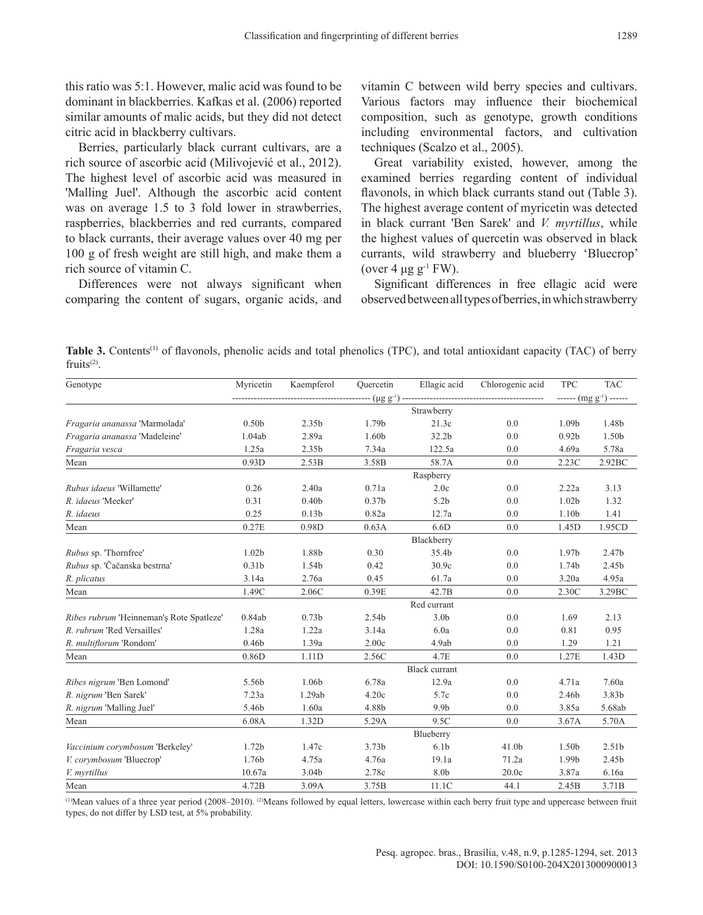this ratio was 5:1. However, malic acid was found to be dominant in blackberries. Kafkas et al. (2006) reported similar amounts of malic acids, but they did not detect citric acid in blackberry cultivars.

Berries, particularly black currant cultivars, are a rich source of ascorbic acid (Milivojević et al., 2012). The highest level of ascorbic acid was measured in 'Malling Juel'. Although the ascorbic acid content was on average 1.5 to 3 fold lower in strawberries, raspberries, blackberries and red currants, compared to black currants, their average values over 40 mg per 100 g of fresh weight are still high, and make them a rich source of vitamin C.

Differences were not always significant when comparing the content of sugars, organic acids, and vitamin C between wild berry species and cultivars. Various factors may influence their biochemical composition, such as genotype, growth conditions including environmental factors, and cultivation techniques (Scalzo et al., 2005).

Great variability existed, however, among the examined berries regarding content of individual flavonols, in which black currants stand out (Table 3). The highest average content of myricetin was detected in black currant 'Ben Sarek' and *V. myrtillus*, while the highest values of quercetin was observed in black currants, wild strawberry and blueberry 'Bluecrop' (over 4  $\mu$ g g<sup>-1</sup> FW).

Significant differences in free ellagic acid were observed between all types of berries, in which strawberry

**Table 3.** Contents<sup>(1)</sup> of flavonols, phenolic acids and total phenolics (TPC), and total antioxidant capacity (TAC) of berry  $fruits^{(2)}$ .

| Genotype                                 | Myricetin         | Kaempferol        | Ouercetin         | Ellagic acid      | Chlorogenic acid                    | <b>TPC</b>        | <b>TAC</b>        |
|------------------------------------------|-------------------|-------------------|-------------------|-------------------|-------------------------------------|-------------------|-------------------|
|                                          |                   |                   |                   |                   | ------ (mg g <sup>-1</sup> ) ------ |                   |                   |
|                                          |                   |                   |                   |                   |                                     |                   |                   |
| Fragaria ananassa 'Marmolada'            | 0.50 <sub>b</sub> | 2.35 <sub>b</sub> | 1.79b             | 21.3c             | 0.0                                 | 1.09b             | 1.48b             |
| Fragaria ananassa 'Madeleine'            | 1.04ab            | 2.89a             | 1.60b             | 32.2 <sub>b</sub> | 0.0                                 | 0.92 <sub>b</sub> | 1.50b             |
| Fragaria vesca                           | 1.25a             | 2.35b             | 7.34a             | 122.5a            | 0.0                                 | 4.69a             | 5.78a             |
| Mean                                     | 0.93D             | 2.53B             | 3.58B             | 58.7A             | 0.0                                 | 2.23C             | 2.92BC            |
|                                          |                   |                   |                   | Raspberry         |                                     |                   |                   |
| Rubus idaeus 'Willamette'                | 0.26              | 2.40a             | 0.71a             | 2.0c              | 0.0                                 | 2.22a             | 3.13              |
| R. idaeus 'Meeker'                       | 0.31              | 0.40 <sub>b</sub> | 0.37 <sub>b</sub> | 5.2 <sub>b</sub>  | 0.0                                 | 1.02 <sub>b</sub> | 1.32              |
| R. idaeus                                | 0.25              | 0.13 <sub>b</sub> | 0.82a             | 12.7a             | 0.0                                 | 1.10b             | 1.41              |
| Mean                                     | 0.27E             | 0.98D             | 0.63A             | 6.6D              | 0.0                                 | 1.45D             | 1.95CD            |
|                                          |                   |                   |                   | Blackberry        |                                     |                   |                   |
| Rubus sp. 'Thornfree'                    | 1.02 <sub>b</sub> | 1.88b             | 0.30              | 35.4b             | 0.0                                 | 1.97b             | 2.47b             |
| Rubus sp. 'Čačanska bestrna'             | 0.31 <sub>b</sub> | 1.54b             | 0.42              | 30.9c             | 0.0                                 | 1.74b             | 2.45b             |
| R. plicatus                              | 3.14a             | 2.76a             | 0.45              | 61.7a             | 0.0                                 | 3.20a             | 4.95a             |
| Mean                                     | 1.49C             | 2.06C             | 0.39E             | 42.7B             | 0.0                                 | 2.30C             | 3.29BC            |
|                                          |                   |                   |                   | Red currant       |                                     |                   |                   |
| Ribes rubrum 'Heinneman's Rote Spatleze' | 0.84ab            | 0.73 <sub>b</sub> | 2.54b             | 3.0 <sub>b</sub>  | 0.0                                 | 1.69              | 2.13              |
| R. rubrum 'Red Versailles'               | 1.28a             | 1.22a             | 3.14a             | 6.0a              | 0.0                                 | 0.81              | 0.95              |
| R. multiflorum 'Rondom'                  | 0.46b             | 1.39a             | 2.00c             | 4.9ab             | 0.0                                 | 1.29              | 1.21              |
| Mean                                     | 0.86D             | 1.11D             | 2.56C             | 4.7E              | 0.0                                 | 1.27E             | 1.43D             |
|                                          |                   |                   |                   | Black currant     |                                     |                   |                   |
| Ribes nigrum 'Ben Lomond'                | 5.56b             | 1.06b             | 6.78a             | 12.9a             | 0.0                                 | 4.71a             | 7.60a             |
| R. nigrum 'Ben Sarek'                    | 7.23a             | 1.29ab            | 4.20c             | 5.7c              | 0.0                                 | 2.46b             | 3.83b             |
| R. nigrum 'Malling Juel'                 | 5.46b             | 1.60a             | 4.88b             | 9.9 <sub>b</sub>  | 0.0                                 | 3.85a             | 5.68ab            |
| Mean                                     | 6.08A             | 1.32D             | 5.29A             | 9.5C              | 0.0                                 | 3.67A             | 5.70A             |
|                                          |                   |                   |                   | Blueberry         |                                     |                   |                   |
| Vaccinium corymbosum 'Berkeley'          | 1.72 <sub>b</sub> | 1.47c             | 3.73 <sub>b</sub> | 6.1 <sub>b</sub>  | 41.0 <sub>b</sub>                   | 1.50b             | 2.51 <sub>b</sub> |
| V. corymbosum 'Bluecrop'                 | 1.76b             | 4.75a             | 4.76a             | 19.1a             | 71.2a                               | 1.99b             | 2.45b             |
| V. myrtillus                             | 10.67a            | 3.04b             | 2.78c             | 8.0b              | 20.0c                               | 3.87a             | 6.16a             |
| Mean                                     | 4.72B             | 3.09A             | 3.75B             | 11.1C             | 44.1                                | 2.45B             | 3.71B             |

(1)Mean values of a three year period (2008–2010). <sup>(2)</sup>Means followed by equal letters, lowercase within each berry fruit type and uppercase between fruit types, do not differ by LSD test, at 5% probability.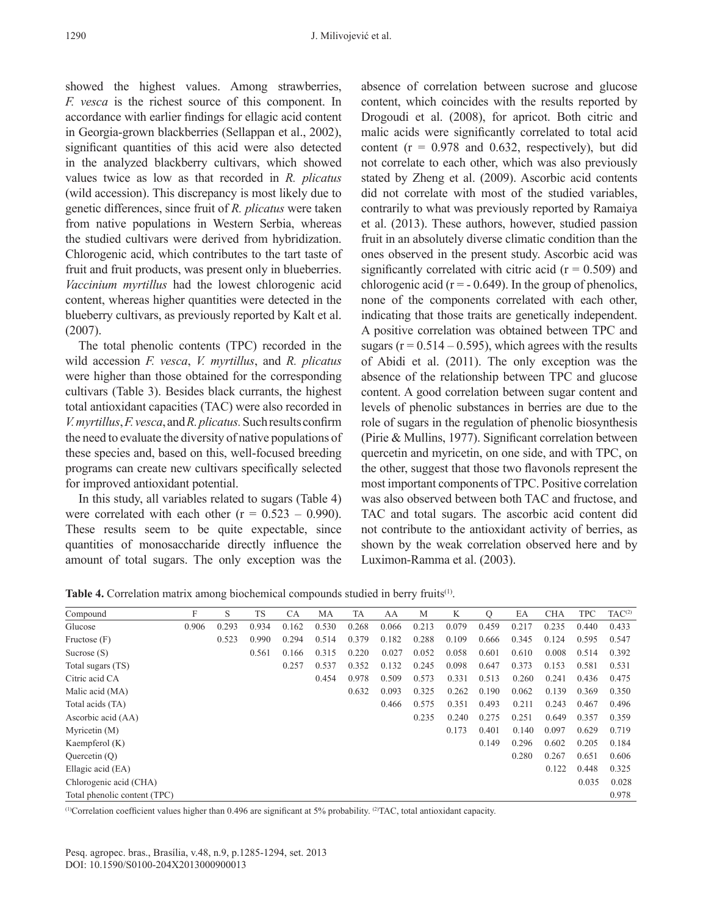showed the highest values. Among strawberries, *F. vesca* is the richest source of this component. In accordance with earlier findings for ellagic acid content in Georgia‑grown blackberries (Sellappan et al., 2002), significant quantities of this acid were also detected in the analyzed blackberry cultivars, which showed values twice as low as that recorded in *R. plicatus* (wild accession). This discrepancy is most likely due to genetic differences, since fruit of *R. plicatus* were taken from native populations in Western Serbia, whereas the studied cultivars were derived from hybridization. Chlorogenic acid, which contributes to the tart taste of fruit and fruit products, was present only in blueberries. *Vaccinium myrtillus* had the lowest chlorogenic acid content, whereas higher quantities were detected in the blueberry cultivars, as previously reported by Kalt et al. (2007).

The total phenolic contents (TPC) recorded in the wild accession *F. vesca*, *V. myrtillus*, and *R. plicatus*  were higher than those obtained for the corresponding cultivars (Table 3). Besides black currants, the highest total antioxidant capacities (TAC) were also recorded in *V.myrtillus*, *F.vesca*, and *R.plicatus.* Such results confirm the need to evaluate the diversity of native populations of these species and, based on this, well‑focused breeding programs can create new cultivars specifically selected for improved antioxidant potential.

In this study, all variables related to sugars (Table 4) were correlated with each other  $(r = 0.523 - 0.990)$ . These results seem to be quite expectable, since quantities of monosaccharide directly influence the amount of total sugars. The only exception was the absence of correlation between sucrose and glucose content, which coincides with the results reported by Drogoudi et al. (2008), for apricot. Both citric and malic acids were significantly correlated to total acid content ( $r = 0.978$  and 0.632, respectively), but did not correlate to each other, which was also previously stated by Zheng et al. (2009). Ascorbic acid contents did not correlate with most of the studied variables, contrarily to what was previously reported by Ramaiya et al. (2013). These authors, however, studied passion fruit in an absolutely diverse climatic condition than the ones observed in the present study. Ascorbic acid was significantly correlated with citric acid  $(r = 0.509)$  and chlorogenic acid ( $r = -0.649$ ). In the group of phenolics, none of the components correlated with each other, indicating that those traits are genetically independent. A positive correlation was obtained between TPC and sugars ( $r = 0.514 - 0.595$ ), which agrees with the results of Abidi et al. (2011). The only exception was the absence of the relationship between TPC and glucose content. A good correlation between sugar content and levels of phenolic substances in berries are due to the role of sugars in the regulation of phenolic biosynthesis (Pirie & Mullins, 1977). Significant correlation between quercetin and myricetin, on one side, and with TPC, on the other, suggest that those two flavonols represent the most important components of TPC. Positive correlation was also observed between both TAC and fructose, and TAC and total sugars. The ascorbic acid content did not contribute to the antioxidant activity of berries, as shown by the weak correlation observed here and by Luximon‑Ramma et al. (2003).

**Table 4.** Correlation matrix among biochemical compounds studied in berry fruits<sup>(1)</sup>.

| Compound                     | F     | S     | <b>TS</b> | CA    | MA    | <b>TA</b> | AA    | М     | K     | $\rm{O}$ | EA    | <b>CHA</b> | <b>TPC</b> | $TAC^{(2)}$ |
|------------------------------|-------|-------|-----------|-------|-------|-----------|-------|-------|-------|----------|-------|------------|------------|-------------|
| Glucose                      | 0.906 | 0.293 | 0.934     | 0.162 | 0.530 | 0.268     | 0.066 | 0.213 | 0.079 | 0.459    | 0.217 | 0.235      | 0.440      | 0.433       |
| Fructose $(F)$               |       | 0.523 | 0.990     | 0.294 | 0.514 | 0.379     | 0.182 | 0.288 | 0.109 | 0.666    | 0.345 | 0.124      | 0.595      | 0.547       |
| Sucrose $(S)$                |       |       | 0.561     | 0.166 | 0.315 | 0.220     | 0.027 | 0.052 | 0.058 | 0.601    | 0.610 | 0.008      | 0.514      | 0.392       |
| Total sugars (TS)            |       |       |           | 0.257 | 0.537 | 0.352     | 0.132 | 0.245 | 0.098 | 0.647    | 0.373 | 0.153      | 0.581      | 0.531       |
| Citric acid CA               |       |       |           |       | 0.454 | 0.978     | 0.509 | 0.573 | 0.331 | 0.513    | 0.260 | 0.241      | 0.436      | 0.475       |
| Malic acid (MA)              |       |       |           |       |       | 0.632     | 0.093 | 0.325 | 0.262 | 0.190    | 0.062 | 0.139      | 0.369      | 0.350       |
| Total acids (TA)             |       |       |           |       |       |           | 0.466 | 0.575 | 0.351 | 0.493    | 0.211 | 0.243      | 0.467      | 0.496       |
| Ascorbic acid (AA)           |       |       |           |       |       |           |       | 0.235 | 0.240 | 0.275    | 0.251 | 0.649      | 0.357      | 0.359       |
| Myricetin (M)                |       |       |           |       |       |           |       |       | 0.173 | 0.401    | 0.140 | 0.097      | 0.629      | 0.719       |
| Kaempferol (K)               |       |       |           |       |       |           |       |       |       | 0.149    | 0.296 | 0.602      | 0.205      | 0.184       |
| Ouercetin $(O)$              |       |       |           |       |       |           |       |       |       |          | 0.280 | 0.267      | 0.651      | 0.606       |
| Ellagic acid (EA)            |       |       |           |       |       |           |       |       |       |          |       | 0.122      | 0.448      | 0.325       |
| Chlorogenic acid (CHA)       |       |       |           |       |       |           |       |       |       |          |       |            | 0.035      | 0.028       |
| Total phenolic content (TPC) |       |       |           |       |       |           |       |       |       |          |       |            |            | 0.978       |

(1)Correlation coefficient values higher than 0.496 are significant at 5% probability. <sup>(2)</sup>TAC, total antioxidant capacity.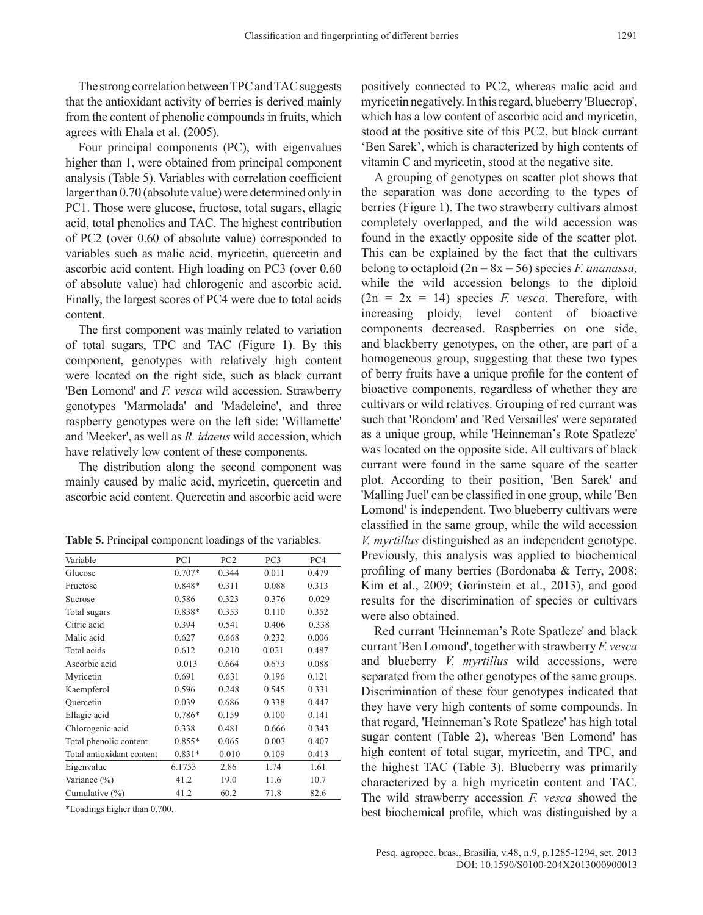The strong correlation between TPC and TAC suggests that the antioxidant activity of berries is derived mainly from the content of phenolic compounds in fruits, which agrees with Ehala et al. (2005).

Four principal components (PC), with eigenvalues higher than 1, were obtained from principal component analysis (Table 5). Variables with correlation coefficient larger than 0.70 (absolute value) were determined only in PC1. Those were glucose, fructose, total sugars, ellagic acid, total phenolics and TAC. The highest contribution of PC2 (over 0.60 of absolute value) corresponded to variables such as malic acid, myricetin, quercetin and ascorbic acid content. High loading on PC3 (over 0.60 of absolute value) had chlorogenic and ascorbic acid. Finally, the largest scores of PC4 were due to total acids content.

The first component was mainly related to variation of total sugars, TPC and TAC (Figure 1). By this component, genotypes with relatively high content were located on the right side, such as black currant 'Ben Lomond' and *F. vesca* wild accession. Strawberry genotypes 'Marmolada' and 'Madeleine', and three raspberry genotypes were on the left side: 'Willamette' and 'Meeker', as well as *R. idaeus* wild accession, which have relatively low content of these components.

The distribution along the second component was mainly caused by malic acid, myricetin, quercetin and ascorbic acid content. Quercetin and ascorbic acid were

|  | <b>Table 5.</b> Principal component loadings of the variables. |  |
|--|----------------------------------------------------------------|--|
|--|----------------------------------------------------------------|--|

| Variable                  | PC1      | PC <sub>2</sub> | PC <sub>3</sub> | PC4   |
|---------------------------|----------|-----------------|-----------------|-------|
| Glucose                   | $0.707*$ | 0.344           | 0.011           | 0.479 |
| Fructose                  | 0.848*   | 0.311           | 0.088           | 0.313 |
| Sucrose                   | 0.586    | 0.323           | 0.376           | 0.029 |
| Total sugars              | 0.838*   | 0.353           | 0.110           | 0.352 |
| Citric acid               | 0.394    | 0.541           | 0.406           | 0.338 |
| Malic acid                | 0.627    | 0.668           | 0.232           | 0.006 |
| Total acids               | 0.612    | 0.210           | 0.021           | 0.487 |
| Ascorbic acid             | 0.013    | 0.664           | 0.673           | 0.088 |
| Myricetin                 | 0.691    | 0.631           | 0.196           | 0.121 |
| Kaempferol                | 0.596    | 0.248           | 0.545           | 0.331 |
| Quercetin                 | 0.039    | 0.686           | 0.338           | 0.447 |
| Ellagic acid              | 0.786*   | 0.159           | 0.100           | 0.141 |
| Chlorogenic acid          | 0.338    | 0.481           | 0.666           | 0.343 |
| Total phenolic content    | $0.855*$ | 0.065           | 0.003           | 0.407 |
| Total antioxidant content | $0.831*$ | 0.010           | 0.109           | 0.413 |
| Eigenvalue                | 6.1753   | 2.86            | 1.74            | 1.61  |
| Variance $(\% )$          | 41.2     | 19.0            | 11.6            | 10.7  |
| Cumulative $(\% )$        | 41.2     | 60.2            | 71.8            | 82.6  |

\*Loadings higher than 0.700.

positively connected to PC2, whereas malic acid and myricetin negatively. In this regard, blueberry 'Bluecrop', which has a low content of ascorbic acid and myricetin, stood at the positive site of this PC2, but black currant 'Ben Sarek', which is characterized by high contents of vitamin C and myricetin, stood at the negative site.

A grouping of genotypes on scatter plot shows that the separation was done according to the types of berries (Figure 1). The two strawberry cultivars almost completely overlapped, and the wild accession was found in the exactly opposite side of the scatter plot. This can be explained by the fact that the cultivars belong to octaploid (2n = 8x = 56) species *F. ananassa,* while the wild accession belongs to the diploid  $(2n = 2x = 14)$  species *F. vesca.* Therefore, with increasing ploidy, level content of bioactive components decreased. Raspberries on one side, and blackberry genotypes, on the other, are part of a homogeneous group, suggesting that these two types of berry fruits have a unique profile for the content of bioactive components, regardless of whether they are cultivars or wild relatives. Grouping of red currant was such that 'Rondom' and 'Red Versailles' were separated as a unique group, while 'Heinneman's Rote Spatleze' was located on the opposite side. All cultivars of black currant were found in the same square of the scatter plot. According to their position, 'Ben Sarek' and 'Malling Juel' can be classified in one group, while 'Ben Lomond' is independent. Two blueberry cultivars were classified in the same group, while the wild accession *V. myrtillus* distinguished as an independent genotype. Previously, this analysis was applied to biochemical profiling of many berries (Bordonaba & Terry, 2008; Kim et al., 2009; Gorinstein et al., 2013), and good results for the discrimination of species or cultivars were also obtained.

Red currant 'Heinneman's Rote Spatleze' and black currant 'Ben Lomond', together with strawberry *F. vesca* and blueberry *V. myrtillus* wild accessions, were separated from the other genotypes of the same groups. Discrimination of these four genotypes indicated that they have very high contents of some compounds. In that regard, 'Heinneman's Rote Spatleze' has high total sugar content (Table 2), whereas 'Ben Lomond' has high content of total sugar, myricetin, and TPC, and the highest TAC (Table 3). Blueberry was primarily characterized by a high myricetin content and TAC. The wild strawberry accession *F. vesca* showed the best biochemical profile, which was distinguished by a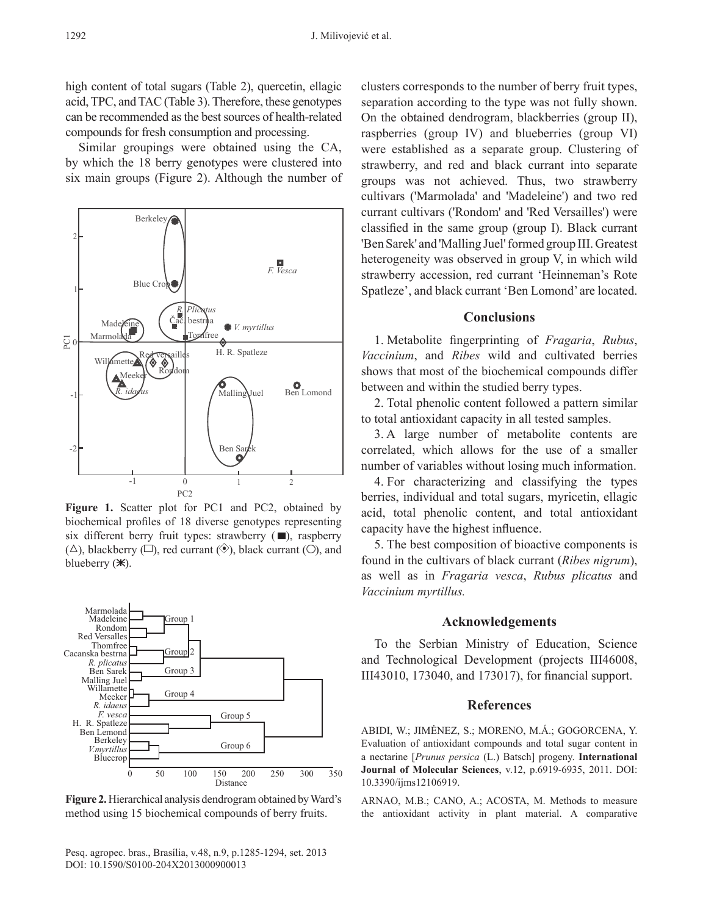by which the 18 berry genotypes were clustered into six main groups (Figure 2). Although the number of

high content of total sugars (Table 2), quercetin, ellagic acid, TPC, and TAC (Table 3). Therefore, these genotypes can be recommended as the best sources of health-related compounds for fresh consumption and processing.

Similar groupings were obtained using the CA,



Figure 1. Scatter plot for PC1 and PC2, obtained by biochemical profiles of 18 diverse genotypes representing six different berry fruit types: strawberry  $(\blacksquare)$ , raspberry  $(\triangle)$ , blackberry  $(\square)$ , red currant  $(\diamondsuit)$ , black currant  $(\bigcirc)$ , and blueberry  $(\divideontimes).$ 



**Figure 2.** Hierarchical analysis dendrogram obtained by Ward's method using 15 biochemical compounds of berry fruits.

Pesq. agropec. bras., Brasília, v.48, n.9, p.1285-1294, set. 2013 [DOI: 10.1590/S0100-204X2013000900013](http://dx.doi.org/10.1590/S0100-204X2013000900013) 

clusters corresponds to the number of berry fruit types, separation according to the type was not fully shown. On the obtained dendrogram, blackberries (group II), raspberries (group IV) and blueberries (group VI) were established as a separate group. Clustering of strawberry, and red and black currant into separate groups was not achieved. Thus, two strawberry cultivars ('Marmolada' and 'Madeleine') and two red currant cultivars ('Rondom' and 'Red Versailles') were classified in the same group (group I). Black currant 'Ben Sarek' and 'Malling Juel' formed group III. Greatest heterogeneity was observed in group V, in which wild strawberry accession, red currant 'Heinneman's Rote Spatleze', and black currant 'Ben Lomond' are located.

#### **Conclusions**

1. Metabolite fingerprinting of *Fragaria*, *Rubus*, *Vaccinium*, and *Ribes* wild and cultivated berries shows that most of the biochemical compounds differ between and within the studied berry types.

2. Total phenolic content followed a pattern similar to total antioxidant capacity in all tested samples.

3. A large number of metabolite contents are correlated, which allows for the use of a smaller number of variables without losing much information.

4. For characterizing and classifying the types berries, individual and total sugars, myricetin, ellagic acid, total phenolic content, and total antioxidant capacity have the highest influence.

5. The best composition of bioactive components is found in the cultivars of black currant (*Ribes nigrum*), as well as in *Fragaria vesca*, *Rubus plicatus* and *Vaccinium myrtillus.* 

## **Acknowledgements**

To the Serbian Ministry of Education, Science and Technological Development (projects III46008, III43010, 173040, and 173017), for financial support.

#### **References**

ABIDI, W.; JIMĖNEZ, S.; MORENO, M.Á.; GOGORCENA, Y. Evaluation of antioxidant compounds and total sugar content in a nectarine [*Prunus persica* (L.) Batsch] progeny. **International Journal of Molecular Sciences**, v.12, p.6919‑6935, 2011. [DOI:](http://dx.doi.org/10.3390/ijms12106919)  [10.3390/ijms12106919.](http://dx.doi.org/10.3390/ijms12106919) 

ARNAO, M.B.; CANO, A.; ACOSTA, M. Methods to measure the antioxidant activity in plant material. A comparative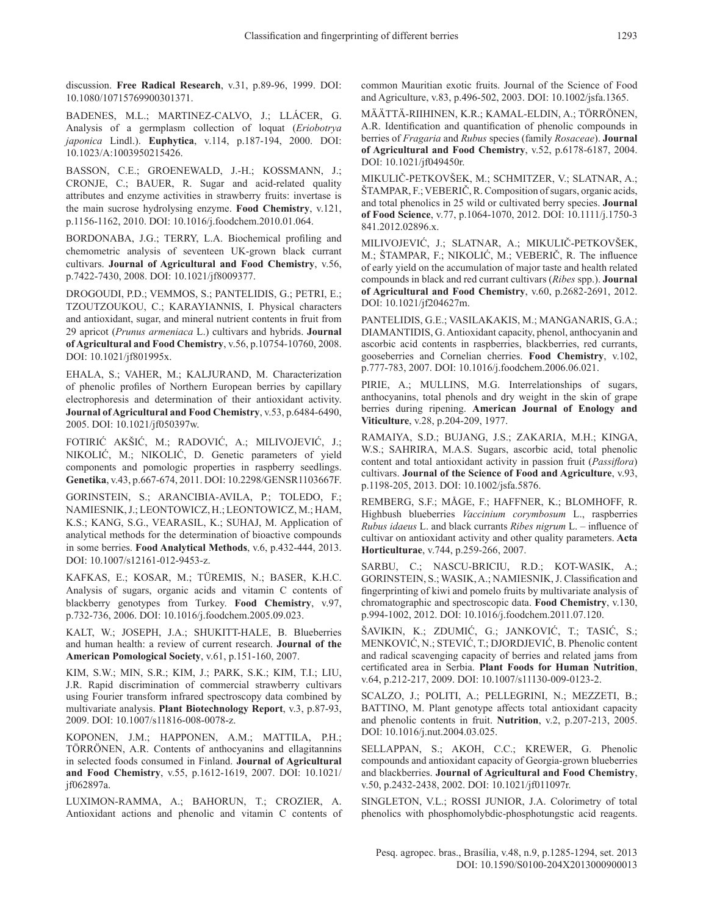discussion. **Free Radical Research**, v.31, p.89‑96, 1999. [DOI:](http://dx.doi.org/10.1080/10715769900301371) [10.1080/10715769900301371.](http://dx.doi.org/10.1080/10715769900301371)

BADENES, M.L.; MARTINEZ‑CALVO, J.; LLÁCER, G. Analysis of a germplasm collection of loquat (*Eriobotrya japonica* Lindl.). **Euphytica**, v.114, p.187‑194, 2000. [DOI:](http://dx.doi.org/10.1023/A:1003950215426) [10.1023/A:1003950215426.](http://dx.doi.org/10.1023/A:1003950215426) 

BASSON, C.E.; GROENEWALD, J.-H.; KOSSMANN, J.; CRONJE, C.; BAUER, R. Sugar and acid-related quality attributes and enzyme activities in strawberry fruits: invertase is the main sucrose hydrolysing enzyme. **Food Chemistry**, v.121, p.1156‑1162, 2010. [DOI: 10.1016/j.foodchem.2010.01.064.](http://dx.doi.org/10.1016/j.foodchem.2010.01.064) 

BORDONABA, J.G.; TERRY, L.A. Biochemical profiling and chemometric analysis of seventeen UK‑grown black currant cultivars. **Journal of Agricultural and Food Chemistry**, v.56, p.7422‑7430, 2008. [DOI: 10.1021/jf8009377.](http://dx.doi.org/10.1021/jf8009377) 

DROGOUDI, P.D.; VEMMOS, S.; PANTELIDIS, G.; PETRI, E.; TZOUTZOUKOU, C.; KARAYIANNIS, I. Physical characters and antioxidant, sugar, and mineral nutrient contents in fruit from 29 apricot (*Prunus armeniaca* L.) cultivars and hybrids. **Journal of Agricultural and Food Chemistry**, v.56, p.10754‑10760, 2008. [DOI: 10.1021/jf801995x.](http://dx.doi.org/10.1021/jf801995x)

EHALA, S.; VAHER, M.; KALJURAND, M. Characterization of phenolic profiles of Northern European berries by capillary electrophoresis and determination of their antioxidant activity. **Journal of Agricultural and Food Chemistry**, v.53, p.6484‑6490, 2005. [DOI: 10.1021/jf050397w.](http://dx.doi.org/10.1021/jf050397w) 

FOTIRIĆ AKŠIĆ, M.; RADOVIĆ, A.; MILIVOJEVIĆ, J.; NIKOLIĆ, M.; NIKOLIĆ, D. Genetic parameters of yield components and pomologic properties in raspberry seedlings. **Genetika**, v.43, p.667‑674, 2011. [DOI: 10.2298/GENSR1103667F.](http://dx.doi.org/10.2298/GENSR1103667F)

GORINSTEIN, S.; ARANCIBIA‑AVILA, P.; TOLEDO, F.; NAMIESNIK, J.; LEONTOWICZ, H.; LEONTOWICZ, M.; HAM, K.S.; KANG, S.G., VEARASIL, K.; SUHAJ, M. Application of analytical methods for the determination of bioactive compounds in some berries. **Food Analytical Methods**, v.6, p.432‑444, 2013. [DOI: 10.1007/s12161‑012‑9453‑z.](http://dx.doi.org/10.1007/s12161-012-9453-z) 

KAFKAS, E.; KOSAR, M.; TÜREMIS, N.; BASER, K.H.C. Analysis of sugars, organic acids and vitamin C contents of blackberry genotypes from Turkey. **Food Chemistry**, v.97, p.732‑736, 2006. [DOI: 10.1016/j.foodchem.2005.09.023.](http://dx.doi.org/10.1016/j.foodchem.2005.09.023) 

KALT, W.; JOSEPH, J.A.; SHUKITT-HALE, B. Blueberries and human health: a review of current research. **Journal of the American Pomological Society**, v.61, p.151‑160, 2007.

KIM, S.W.; MIN, S.R.; KIM, J.; PARK, S.K.; KIM, T.I.; LIU, J.R. Rapid discrimination of commercial strawberry cultivars using Fourier transform infrared spectroscopy data combined by multivariate analysis. **Plant Biotechnology Report**, v.3, p.87‑93, 2009. [DOI: 10.1007/s11816‑008‑0078‑z.](http://dx.doi.org/10.1007/s11816-008-0078-z) 

KOPONEN, J.M.; HAPPONEN, A.M.; MATTILA, P.H.; TÖRRÖNEN, A.R. Contents of anthocyanins and ellagitannins in selected foods consumed in Finland. **Journal of Agricultural and Food Chemistry**, v.55, p.1612‑1619, 2007. [DOI: 10.1021/](http://dx.doi.org/10.1021/jf062897a) [jf062897a.](http://dx.doi.org/10.1021/jf062897a) 

LUXIMON‑RAMMA, A.; BAHORUN, T.; CROZIER, A. Antioxidant actions and phenolic and vitamin C contents of common Mauritian exotic fruits. Journal of the Science of Food and Agriculture, v.83, p.496‑502, 2003. [DOI: 10.1002/jsfa.1365.](http://dx.doi.org/10.1002/jsfa.1365) 

MÄÄTTÄ‑RIIHINEN, K.R.; KAMAL‑ELDIN, A.; TÖRRÖNEN, A.R. Identification and quantification of phenolic compounds in berries of *Fragaria* and *Rubus* species (family *Rosaceae*). **Journal of Agricultural and Food Chemistry**, v.52, p.6178‑6187, 2004. [DOI: 10.1021/jf049450r.](http://dx.doi.org/10.1021/jf049450r) 

MIKULIČ‑PETKOVŠEK, M.; SCHMITZER, V.; SLATNAR, A.; STAMPAR, F.; VEBERIC, R. Composition of sugars, organic acids, and total phenolics in 25 wild or cultivated berry species. **Journal of Food Science**, v.77, p.1064‑1070, 2012. [DOI: 10.1111/j.1750‑3](http://dx.doi.org/10.1111/j.1750-3841.2012.02896.x) [841.2012.02896.x.](http://dx.doi.org/10.1111/j.1750-3841.2012.02896.x) 

MILIVOJEVIĆ, J.; SLATNAR, A.; MIKULIČ‑PETKOVŠEK, M.; ŠTAMPAR, F.; NIKOLIĆ, M.; VEBERIČ, R. The influence of early yield on the accumulation of major taste and health related compounds in black and red currant cultivars (*Ribes* spp.). **Journal of Agricultural and Food Chemistry**, v.60, p.2682‑2691, 2012. [DOI: 10.1021/jf204627m.](http://dx.doi.org/10.1021/jf204627m) 

PANTELIDIS, G.E.; VASILAKAKIS, M.; MANGANARIS, G.A.; DIAMANTIDIS, G. Antioxidant capacity, phenol, anthocyanin and ascorbic acid contents in raspberries, blackberries, red currants, gooseberries and Cornelian cherries. **Food Chemistry**, v.102, p.777‑783, 2007. [DOI: 10.1016/j.foodchem.2006.06.021.](http://dx.doi.org/10.1016/j.foodchem.2006.06.021) 

PIRIE, A.; MULLINS, M.G. Interrelationships of sugars, anthocyanins, total phenols and dry weight in the skin of grape berries during ripening. **American Journal of Enology and Viticulture**, v.28, p.204‑209, 1977.

RAMAIYA, S.D.; BUJANG, J.S.; ZAKARIA, M.H.; KINGA, W.S.; SAHRIRA, M.A.S. Sugars, ascorbic acid, total phenolic content and total antioxidant activity in passion fruit (*Passiflora*) cultivars. **Journal of the Science of Food and Agriculture**, v.93, p.1198‑205, 2013. [DOI: 10.1002/jsfa.5876.](http://dx.doi.org/10.1002/jsfa.5876)

REMBERG, S.F.; MÅGE, F.; HAFFNER, K.; BLOMHOFF, R. Highbush blueberries *Vaccinium corymbosum* L., raspberries *Rubus idaeus* L. and black currants *Ribes nigrum* L. – influence of cultivar on antioxidant activity and other quality parameters. **Acta Horticulturae**, v.744, p.259‑266, 2007.

SARBU, C.; NASCU-BRICIU, R.D.; KOT-WASIK, A.; GORINSTEIN, S.; WASIK, A.; NAMIESNIK, J. Classification and fingerprinting of kiwi and pomelo fruits by multivariate analysis of chromatographic and spectroscopic data. **Food Chemistry**, v.130, p.994‑1002, 2012. [DOI: 10.1016/j.foodchem.2011.07.120.](http://dx.doi.org/10.1016/j.foodchem.2011.07.120) 

ŠAVIKIN, K.; ZDUMIĆ, G.; JANKOVIĆ, T.; TASIĆ, S.; MENKOVIĆ, N.; STEVIĆ, T.; DJORDJEVIĆ, B. Phenolic content and radical scavenging capacity of berries and related jams from certificated area in Serbia. **Plant Foods for Human Nutrition**, v.64, p.212-217, 2009. DOI: 10.1007/s11130-009-0123-2.

SCALZO, J.; POLITI, A.; PELLEGRINI, N.; MEZZETI, B.; BATTINO, M. Plant genotype affects total antioxidant capacity and phenolic contents in fruit. **Nutrition**, v.2, p.207-213, 2005. [DOI: 10.1016/j.nut.2004.03.025.](http://dx.doi.org/10.1016/j.nut.2004.03.025) 

SELLAPPAN, S.; AKOH, C.C.; KREWER, G. Phenolic compounds and antioxidant capacity of Georgia‑grown blueberries and blackberries. **Journal of Agricultural and Food Chemistry**, v.50, p.2432‑2438, 2002. [DOI: 10.1021/jf011097r.](http://dx.doi.org/10.1021/jf011097r) 

SINGLETON, V.L.; ROSSI JUNIOR, J.A. Colorimetry of total phenolics with phosphomolybdic‑phosphotungstic acid reagents.